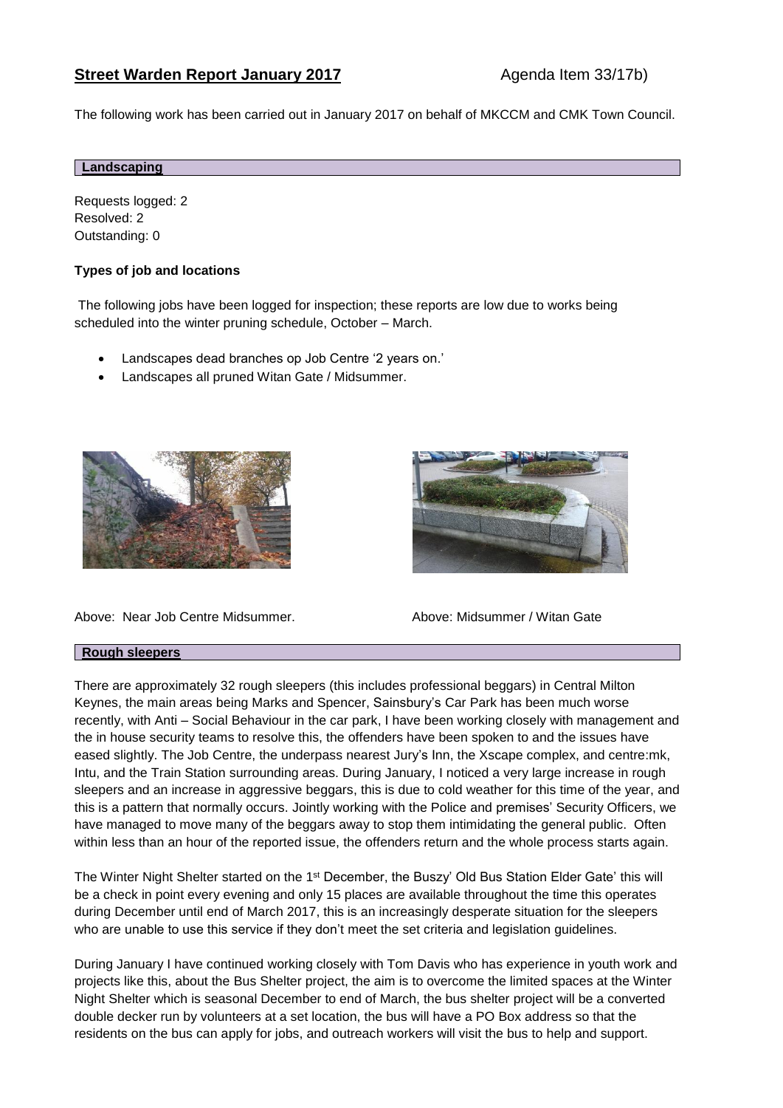# **Street Warden Report January 2017** Agenda Item 33/17b)

The following work has been carried out in January 2017 on behalf of MKCCM and CMK Town Council.

# **Landscaping**

Requests logged: 2 Resolved: 2 Outstanding: 0

# **Types of job and locations**

The following jobs have been logged for inspection; these reports are low due to works being scheduled into the winter pruning schedule, October – March.

- Landscapes dead branches op Job Centre '2 years on.'
- Landscapes all pruned Witan Gate / Midsummer.





Above: Near Job Centre Midsummer. Above: Midsummer / Witan Gate

## **Rough sleepers**

There are approximately 32 rough sleepers (this includes professional beggars) in Central Milton Keynes, the main areas being Marks and Spencer, Sainsbury's Car Park has been much worse recently, with Anti – Social Behaviour in the car park, I have been working closely with management and the in house security teams to resolve this, the offenders have been spoken to and the issues have eased slightly. The Job Centre, the underpass nearest Jury's Inn, the Xscape complex, and centre:mk, Intu, and the Train Station surrounding areas. During January, I noticed a very large increase in rough sleepers and an increase in aggressive beggars, this is due to cold weather for this time of the year, and this is a pattern that normally occurs. Jointly working with the Police and premises' Security Officers, we have managed to move many of the beggars away to stop them intimidating the general public. Often within less than an hour of the reported issue, the offenders return and the whole process starts again.

The Winter Night Shelter started on the 1<sup>st</sup> December, the Buszy' Old Bus Station Elder Gate' this will be a check in point every evening and only 15 places are available throughout the time this operates during December until end of March 2017, this is an increasingly desperate situation for the sleepers who are unable to use this service if they don't meet the set criteria and legislation guidelines.

During January I have continued working closely with Tom Davis who has experience in youth work and projects like this, about the Bus Shelter project, the aim is to overcome the limited spaces at the Winter Night Shelter which is seasonal December to end of March, the bus shelter project will be a converted double decker run by volunteers at a set location, the bus will have a PO Box address so that the residents on the bus can apply for jobs, and outreach workers will visit the bus to help and support.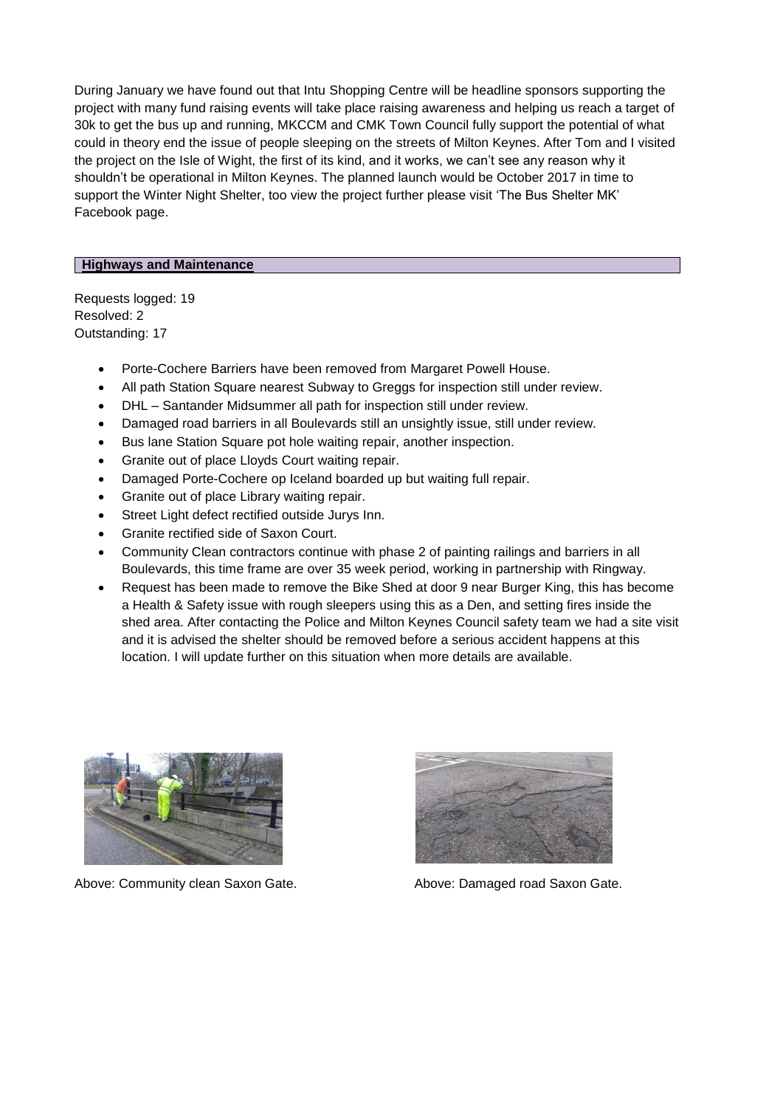During January we have found out that Intu Shopping Centre will be headline sponsors supporting the project with many fund raising events will take place raising awareness and helping us reach a target of 30k to get the bus up and running, MKCCM and CMK Town Council fully support the potential of what could in theory end the issue of people sleeping on the streets of Milton Keynes. After Tom and I visited the project on the Isle of Wight, the first of its kind, and it works, we can't see any reason why it shouldn't be operational in Milton Keynes. The planned launch would be October 2017 in time to support the Winter Night Shelter, too view the project further please visit 'The Bus Shelter MK' Facebook page.

#### **Highways and Maintenance**

Requests logged: 19 Resolved: 2 Outstanding: 17

- Porte-Cochere Barriers have been removed from Margaret Powell House.
- All path Station Square nearest Subway to Greggs for inspection still under review.
- DHL Santander Midsummer all path for inspection still under review.
- Damaged road barriers in all Boulevards still an unsightly issue, still under review.
- Bus lane Station Square pot hole waiting repair, another inspection.
- Granite out of place Lloyds Court waiting repair.
- Damaged Porte-Cochere op Iceland boarded up but waiting full repair.
- Granite out of place Library waiting repair.
- Street Light defect rectified outside Jurys Inn.
- Granite rectified side of Saxon Court.
- Community Clean contractors continue with phase 2 of painting railings and barriers in all Boulevards, this time frame are over 35 week period, working in partnership with Ringway.
- Request has been made to remove the Bike Shed at door 9 near Burger King, this has become a Health & Safety issue with rough sleepers using this as a Den, and setting fires inside the shed area. After contacting the Police and Milton Keynes Council safety team we had a site visit and it is advised the shelter should be removed before a serious accident happens at this location. I will update further on this situation when more details are available.



Above: Community clean Saxon Gate. Above: Damaged road Saxon Gate.

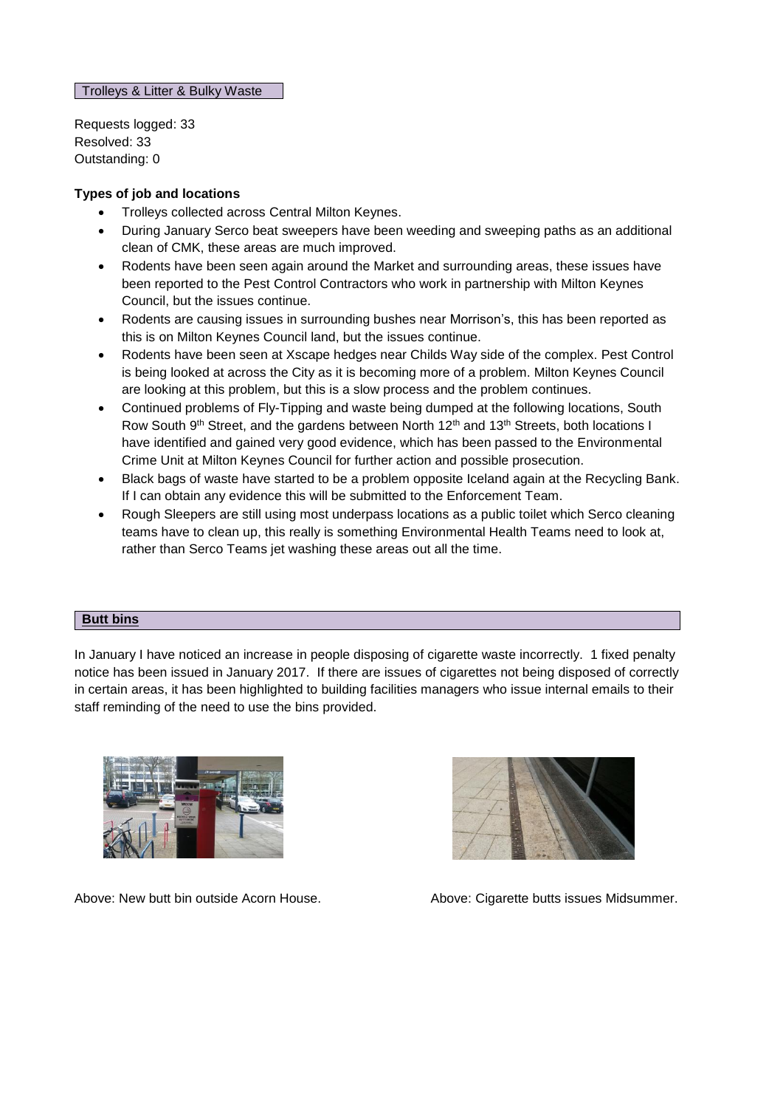Trolleys & Litter & Bulky Waste

Requests logged: 33 Resolved: 33 Outstanding: 0

# **Types of job and locations**

- Trolleys collected across Central Milton Keynes.
- During January Serco beat sweepers have been weeding and sweeping paths as an additional clean of CMK, these areas are much improved.
- Rodents have been seen again around the Market and surrounding areas, these issues have been reported to the Pest Control Contractors who work in partnership with Milton Keynes Council, but the issues continue.
- Rodents are causing issues in surrounding bushes near Morrison's, this has been reported as this is on Milton Keynes Council land, but the issues continue.
- Rodents have been seen at Xscape hedges near Childs Way side of the complex. Pest Control is being looked at across the City as it is becoming more of a problem. Milton Keynes Council are looking at this problem, but this is a slow process and the problem continues.
- Continued problems of Fly-Tipping and waste being dumped at the following locations, South Row South 9<sup>th</sup> Street, and the gardens between North 12<sup>th</sup> and 13<sup>th</sup> Streets, both locations I have identified and gained very good evidence, which has been passed to the Environmental Crime Unit at Milton Keynes Council for further action and possible prosecution.
- Black bags of waste have started to be a problem opposite Iceland again at the Recycling Bank. If I can obtain any evidence this will be submitted to the Enforcement Team.
- Rough Sleepers are still using most underpass locations as a public toilet which Serco cleaning teams have to clean up, this really is something Environmental Health Teams need to look at, rather than Serco Teams jet washing these areas out all the time.

## **Butt bins**

In January I have noticed an increase in people disposing of cigarette waste incorrectly. 1 fixed penalty notice has been issued in January 2017. If there are issues of cigarettes not being disposed of correctly in certain areas, it has been highlighted to building facilities managers who issue internal emails to their staff reminding of the need to use the bins provided.





Above: New butt bin outside Acorn House. Above: Cigarette butts issues Midsummer.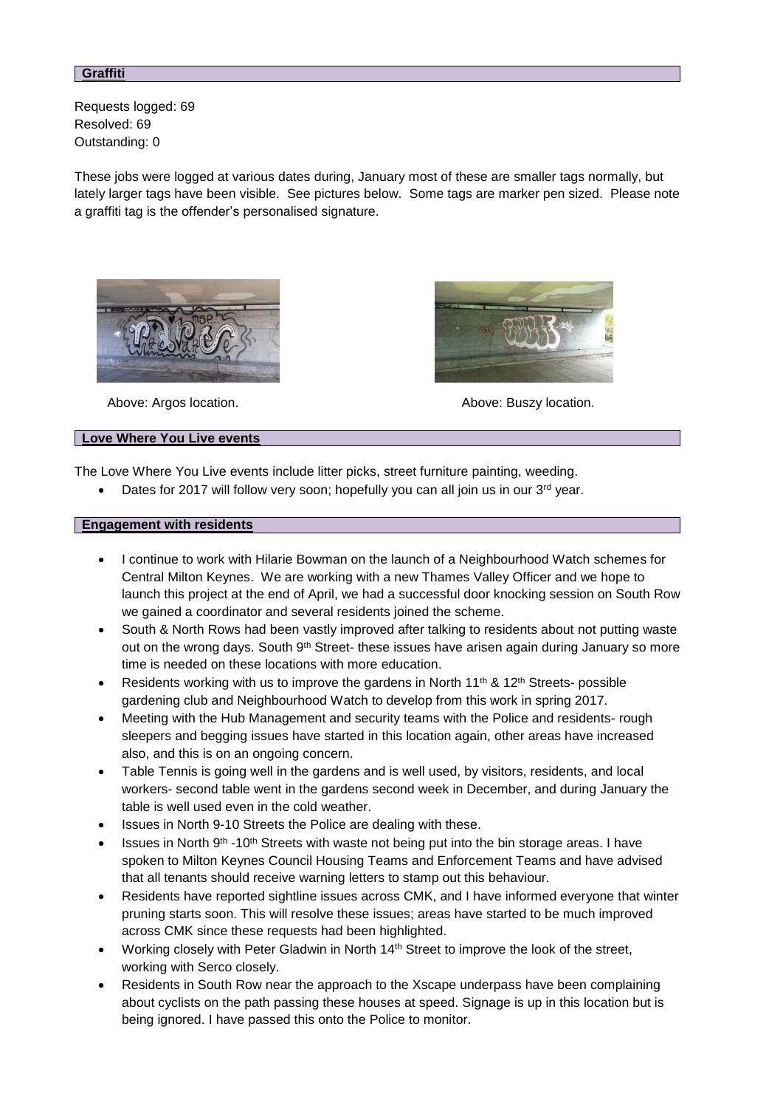#### **Graffiti**

Requests logged: 69 Resolved: 69 Outstanding: 0

These jobs were logged at various dates during, January most of these are smaller tags normally, but lately larger tags have been visible. See pictures below. Some tags are marker pen sized. Please note a graffiti tag is the offender's personalised signature.





Above: Argos location. Above: Buszy location.

#### **Love Where You Live events**

The Love Where You Live events include litter picks, street furniture painting, weeding.

Dates for 2017 will follow very soon; hopefully you can all join us in our 3<sup>rd</sup> year.

#### **Engagement with residents**

- I continue to work with Hilarie Bowman on the launch of a Neighbourhood Watch schemes for Central Milton Keynes. We are working with a new Thames Valley Officer and we hope to launch this project at the end of April, we had a successful door knocking session on South Row we gained a coordinator and several residents joined the scheme.
- South & North Rows had been vastly improved after talking to residents about not putting waste out on the wrong days. South 9<sup>th</sup> Street- these issues have arisen again during January so more time is needed on these locations with more education.
- Residents working with us to improve the gardens in North 11<sup>th</sup> & 12<sup>th</sup> Streets- possible gardening club and Neighbourhood Watch to develop from this work in spring 2017.
- Meeting with the Hub Management and security teams with the Police and residents- rough sleepers and begging issues have started in this location again, other areas have increased also, and this is on an ongoing concern.
- Table Tennis is going well in the gardens and is well used, by visitors, residents, and local workers- second table went in the gardens second week in December, and during January the table is well used even in the cold weather.
- Issues in North 9-10 Streets the Police are dealing with these.
- Issues in North  $9<sup>th</sup>$  -10<sup>th</sup> Streets with waste not being put into the bin storage areas. I have spoken to Milton Keynes Council Housing Teams and Enforcement Teams and have advised that all tenants should receive warning letters to stamp out this behaviour.
- Residents have reported sightline issues across CMK, and I have informed everyone that winter pruning starts soon. This will resolve these issues; areas have started to be much improved across CMK since these requests had been highlighted.
- Working closely with Peter Gladwin in North 14<sup>th</sup> Street to improve the look of the street, working with Serco closely.
- Residents in South Row near the approach to the Xscape underpass have been complaining about cyclists on the path passing these houses at speed. Signage is up in this location but is being ignored. I have passed this onto the Police to monitor.